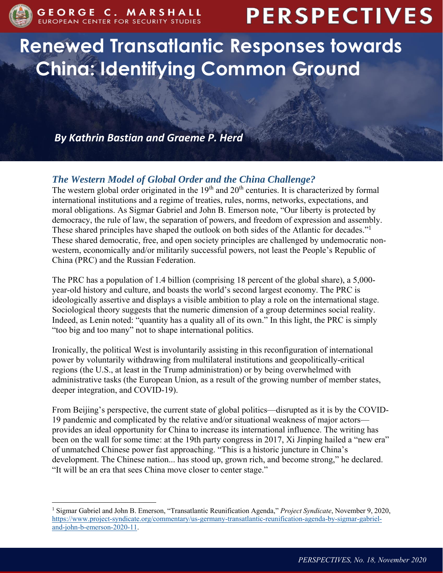

 $\overline{a}$ 

# **PERSPECTIVES**

# **Renewed Transatlantic Responses towards China: Identifying Common Ground**

*By Kathrin Bastian and Graeme P. Herd*

# *The Western Model of Global Order and the China Challenge?*

The western global order originated in the  $19<sup>th</sup>$  and  $20<sup>th</sup>$  centuries. It is characterized by formal international institutions and a regime of treaties, rules, norms, networks, expectations, and moral obligations. As Sigmar Gabriel and John B. Emerson note, "Our liberty is protected by democracy, the rule of law, the separation of powers, and freedom of expression and assembly. These shared principles have shaped the outlook on both sides of the Atlantic for decades."<sup>1</sup> These shared democratic, free, and open society principles are challenged by undemocratic nonwestern, economically and/or militarily successful powers, not least the People's Republic of China (PRC) and the Russian Federation.

The PRC has a population of 1.4 billion (comprising 18 percent of the global share), a 5,000 year-old history and culture, and boasts the world's second largest economy. The PRC is ideologically assertive and displays a visible ambition to play a role on the international stage. Sociological theory suggests that the numeric dimension of a group determines social reality. Indeed, as Lenin noted: "quantity has a quality all of its own." In this light, the PRC is simply "too big and too many" not to shape international politics.

Ironically, the political West is involuntarily assisting in this reconfiguration of international power by voluntarily withdrawing from multilateral institutions and geopolitically-critical regions (the U.S., at least in the Trump administration) or by being overwhelmed with administrative tasks (the European Union, as a result of the growing number of member states, deeper integration, and COVID-19).

From Beijing's perspective, the current state of global politics—disrupted as it is by the COVID-19 pandemic and complicated by the relative and/or situational weakness of major actors provides an ideal opportunity for China to increase its international influence. The writing has been on the wall for some time: at the 19th party congress in 2017, Xi Jinping hailed a "new era" of unmatched Chinese power fast approaching. "This is a historic juncture in China's development. The Chinese nation... has stood up, grown rich, and become strong," he declared. "It will be an era that sees China move closer to center stage."

<sup>1</sup> Sigmar Gabriel and John B. Emerson, "Transatlantic Reunification Agenda," *Project Syndicate*, November 9, 2020, [https://www.project-syndicate.org/commentary/us-germany-transatlantic-reunification-agenda-by-sigmar-gabriel](https://www.project-syndicate.org/commentary/us-germany-transatlantic-reunification-agenda-by-sigmar-gabriel-and-john-b-emerson-2020-11)[and-john-b-emerson-2020-11.](https://www.project-syndicate.org/commentary/us-germany-transatlantic-reunification-agenda-by-sigmar-gabriel-and-john-b-emerson-2020-11)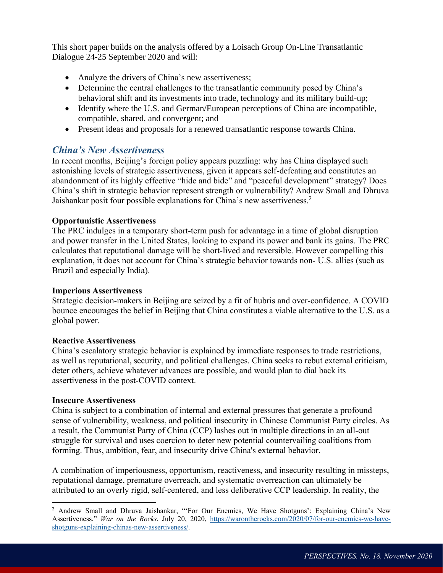This short paper builds on the analysis offered by a Loisach Group On-Line Transatlantic Dialogue 24-25 September 2020 and will:

- Analyze the drivers of China's new assertiveness;
- Determine the central challenges to the transatlantic community posed by China's behavioral shift and its investments into trade, technology and its military build-up;
- Identify where the U.S. and German/European perceptions of China are incompatible, compatible, shared, and convergent; and
- Present ideas and proposals for a renewed transatlantic response towards China.

# *China's New Assertiveness*

In recent months, Beijing's foreign policy appears puzzling: why has China displayed such astonishing levels of strategic assertiveness, given it appears self-defeating and constitutes an abandonment of its highly effective "hide and bide" and "peaceful development" strategy? Does China's shift in strategic behavior represent strength or vulnerability? Andrew Small and Dhruva Jaishankar posit four possible explanations for China's new assertiveness.<sup>2</sup>

#### **Opportunistic Assertiveness**

The PRC indulges in a temporary short-term push for advantage in a time of global disruption and power transfer in the United States, looking to expand its power and bank its gains. The PRC calculates that reputational damage will be short-lived and reversible. However compelling this explanation, it does not account for China's strategic behavior towards non- U.S. allies (such as Brazil and especially India).

#### **Imperious Assertiveness**

Strategic decision-makers in Beijing are seized by a fit of hubris and over-confidence. A COVID bounce encourages the belief in Beijing that China constitutes a viable alternative to the U.S. as a global power.

#### **Reactive Assertiveness**

China's escalatory strategic behavior is explained by immediate responses to trade restrictions, as well as reputational, security, and political challenges. China seeks to rebut external criticism, deter others, achieve whatever advances are possible, and would plan to dial back its assertiveness in the post-COVID context.

#### **Insecure Assertiveness**

 $\overline{a}$ 

China is subject to a combination of internal and external pressures that generate a profound sense of vulnerability, weakness, and political insecurity in Chinese Communist Party circles. As a result, the Communist Party of China (CCP) lashes out in multiple directions in an all-out struggle for survival and uses coercion to deter new potential countervailing coalitions from forming. Thus, ambition, fear, and insecurity drive China's external behavior.

A combination of imperiousness, opportunism, reactiveness, and insecurity resulting in missteps, reputational damage, premature overreach, and systematic overreaction can ultimately be attributed to an overly rigid, self-centered, and less deliberative CCP leadership. In reality, the

<sup>2</sup> Andrew Small and Dhruva Jaishankar, "'For Our Enemies, We Have Shotguns': Explaining China's New Assertiveness," *War on the Rocks*, July 20, 2020, [https://warontherocks.com/2020/07/for-our-enemies-we-have](https://warontherocks.com/2020/07/for-our-enemies-we-have-shotguns-explaining-chinas-new-assertiveness/)[shotguns-explaining-chinas-new-assertiveness/.](https://warontherocks.com/2020/07/for-our-enemies-we-have-shotguns-explaining-chinas-new-assertiveness/)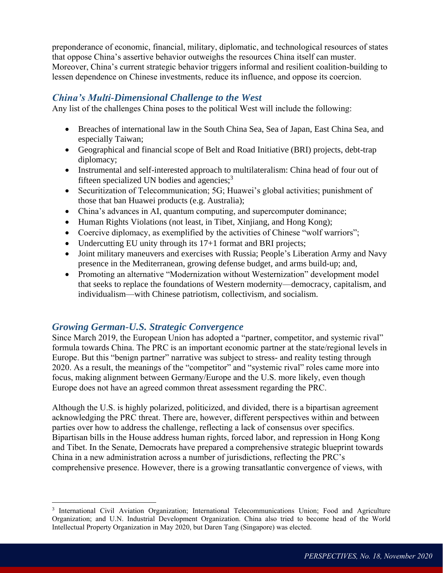preponderance of economic, financial, military, diplomatic, and technological resources of states that oppose China's assertive behavior outweighs the resources China itself can muster. Moreover, China's current strategic behavior triggers informal and resilient coalition-building to lessen dependence on Chinese investments, reduce its influence, and oppose its coercion.

#### *China's Multi-Dimensional Challenge to the West*

Any list of the challenges China poses to the political West will include the following:

- Breaches of international law in the South China Sea, Sea of Japan, East China Sea, and especially Taiwan;
- Geographical and financial scope of Belt and Road Initiative (BRI) projects, debt-trap diplomacy;
- Instrumental and self-interested approach to multilateralism: China head of four out of fifteen specialized UN bodies and agencies; $<sup>3</sup>$ </sup>
- Securitization of Telecommunication; 5G; Huawei's global activities; punishment of those that ban Huawei products (e.g. Australia);
- China's advances in AI, quantum computing, and supercomputer dominance;
- Human Rights Violations (not least, in Tibet, Xinjiang, and Hong Kong);
- Coercive diplomacy, as exemplified by the activities of Chinese "wolf warriors";
- Undercutting EU unity through its 17+1 format and BRI projects;
- Joint military maneuvers and exercises with Russia; People's Liberation Army and Navy presence in the Mediterranean, growing defense budget, and arms build-up; and,
- Promoting an alternative "Modernization without Westernization" development model that seeks to replace the foundations of Western modernity—democracy, capitalism, and individualism—with Chinese patriotism, collectivism, and socialism.

#### *Growing German-U.S. Strategic Convergence*

 $\overline{a}$ 

Since March 2019, the European Union has adopted a "partner, competitor, and systemic rival" formula towards China. The PRC is an important economic partner at the state/regional levels in Europe. But this "benign partner" narrative was subject to stress- and reality testing through 2020. As a result, the meanings of the "competitor" and "systemic rival" roles came more into focus, making alignment between Germany/Europe and the U.S. more likely, even though Europe does not have an agreed common threat assessment regarding the PRC.

Although the U.S. is highly polarized, politicized, and divided, there is a bipartisan agreement acknowledging the PRC threat. There are, however, different perspectives within and between parties over how to address the challenge, reflecting a lack of consensus over specifics. Bipartisan bills in the House address human rights, forced labor, and repression in Hong Kong and Tibet. In the Senate, Democrats have prepared a comprehensive strategic blueprint towards China in a new administration across a number of jurisdictions, reflecting the PRC's comprehensive presence. However, there is a growing transatlantic convergence of views, with

<sup>3</sup> International Civil Aviation Organization; International Telecommunications Union; Food and Agriculture Organization; and U.N. Industrial Development Organization. China also tried to become head of the World Intellectual Property Organization in May 2020, but Daren Tang (Singapore) was elected.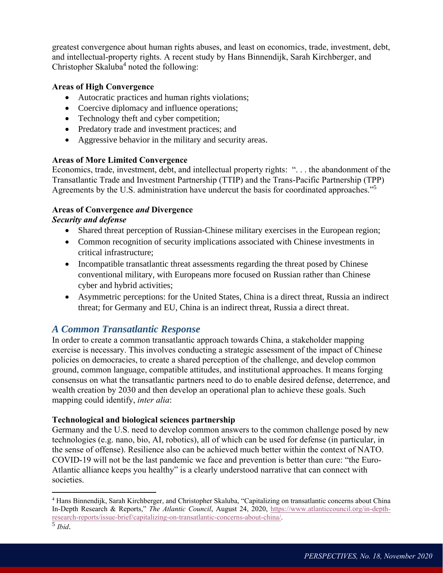greatest convergence about human rights abuses, and least on economics, trade, investment, debt, and intellectual-property rights. A recent study by Hans Binnendijk, Sarah Kirchberger, and Christopher Skaluba<sup>4</sup> noted the following:

#### **Areas of High Convergence**

- Autocratic practices and human rights violations;
- Coercive diplomacy and influence operations;
- Technology theft and cyber competition;
- Predatory trade and investment practices; and
- Aggressive behavior in the military and security areas.

#### **Areas of More Limited Convergence**

Economics, trade, investment, debt, and intellectual property rights: ". . . the abandonment of the Transatlantic Trade and Investment Partnership (TTIP) and the Trans-Pacific Partnership (TPP) Agreements by the U.S. administration have undercut the basis for coordinated approaches."<sup>5</sup>

#### **Areas of Convergence** *and* **Divergence**

#### *Security and defense*

- Shared threat perception of Russian-Chinese military exercises in the European region;
- Common recognition of security implications associated with Chinese investments in critical infrastructure;
- Incompatible transatlantic threat assessments regarding the threat posed by Chinese conventional military, with Europeans more focused on Russian rather than Chinese cyber and hybrid activities;
- Asymmetric perceptions: for the United States, China is a direct threat, Russia an indirect threat; for Germany and EU, China is an indirect threat, Russia a direct threat.

# *A Common Transatlantic Response*

In order to create a common transatlantic approach towards China, a stakeholder mapping exercise is necessary. This involves conducting a strategic assessment of the impact of Chinese policies on democracies, to create a shared perception of the challenge, and develop common ground, common language, compatible attitudes, and institutional approaches. It means forging consensus on what the transatlantic partners need to do to enable desired defense, deterrence, and wealth creation by 2030 and then develop an operational plan to achieve these goals. Such mapping could identify, *inter alia*:

#### **Technological and biological sciences partnership**

Germany and the U.S. need to develop common answers to the common challenge posed by new technologies (e.g. nano, bio, AI, robotics), all of which can be used for defense (in particular, in the sense of offense). Resilience also can be achieved much better within the context of NATO. COVID-19 will not be the last pandemic we face and prevention is better than cure: "the Euro-Atlantic alliance keeps you healthy" is a clearly understood narrative that can connect with societies.

 $\overline{a}$ 

<sup>4</sup> Hans Binnendijk, Sarah Kirchberger, and Christopher Skaluba, "Capitalizing on transatlantic concerns about China In-Depth Research & Reports," *The Atlantic Council*, August 24, 2020, [https://www.atlanticcouncil.org/in-depth](https://www.atlanticcouncil.org/in-depth-research-reports/issue-brief/capitalizing-on-transatlantic-concerns-about-china/)[research-reports/issue-brief/capitalizing-on-transatlantic-concerns-about-china/.](https://www.atlanticcouncil.org/in-depth-research-reports/issue-brief/capitalizing-on-transatlantic-concerns-about-china/)

<sup>5</sup> *Ibid*.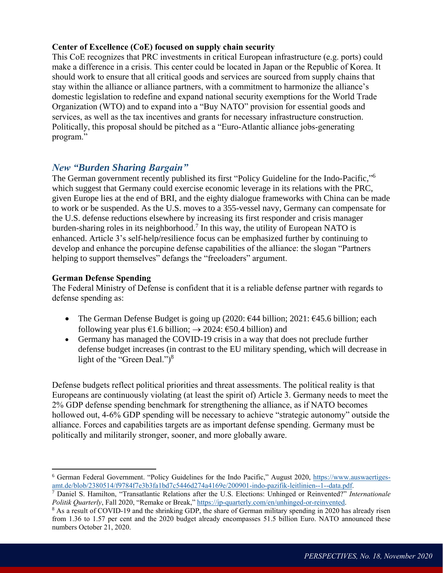#### **Center of Excellence (CoE) focused on supply chain security**

This CoE recognizes that PRC investments in critical European infrastructure (e.g. ports) could make a difference in a crisis. This center could be located in Japan or the Republic of Korea. It should work to ensure that all critical goods and services are sourced from supply chains that stay within the alliance or alliance partners, with a commitment to harmonize the alliance's domestic legislation to redefine and expand national security exemptions for the World Trade Organization (WTO) and to expand into a "Buy NATO" provision for essential goods and services, as well as the tax incentives and grants for necessary infrastructure construction. Politically, this proposal should be pitched as a "Euro-Atlantic alliance jobs-generating program."

## *New "Burden Sharing Bargain"*

The German government recently published its first "Policy Guideline for the Indo-Pacific,"<sup>6</sup> which suggest that Germany could exercise economic leverage in its relations with the PRC, given Europe lies at the end of BRI, and the eighty dialogue frameworks with China can be made to work or be suspended. As the U.S. moves to a 355-vessel navy, Germany can compensate for the U.S. defense reductions elsewhere by increasing its first responder and crisis manager burden-sharing roles in its neighborhood.<sup>7</sup> In this way, the utility of European NATO is enhanced. Article 3's self-help/resilience focus can be emphasized further by continuing to develop and enhance the porcupine defense capabilities of the alliance: the slogan "Partners helping to support themselves" defangs the "freeloaders" argument.

#### **German Defense Spending**

 $\overline{a}$ 

The Federal Ministry of Defense is confident that it is a reliable defense partner with regards to defense spending as:

- The German Defense Budget is going up (2020:  $\epsilon$ 44 billion; 2021:  $\epsilon$ 45.6 billion; each following year plus  $\epsilon$ 1.6 billion;  $\rightarrow$  2024:  $\epsilon$ 50.4 billion) and
- Germany has managed the COVID-19 crisis in a way that does not preclude further defense budget increases (in contrast to the EU military spending, which will decrease in light of the "Green Deal.")<sup>8</sup>

Defense budgets reflect political priorities and threat assessments. The political reality is that Europeans are continuously violating (at least the spirit of) Article 3. Germany needs to meet the 2% GDP defense spending benchmark for strengthening the alliance, as if NATO becomes hollowed out, 4-6% GDP spending will be necessary to achieve "strategic autonomy" outside the alliance. Forces and capabilities targets are as important defense spending. Germany must be politically and militarily stronger, sooner, and more globally aware.

<sup>&</sup>lt;sup>6</sup> German Federal Government. "Policy Guidelines for the Indo Pacific," August 2020, [https://www.auswaertiges](https://www.auswaertiges-amt.de/blob/2380514/f9784f7e3b3fa1bd7c5446d274a4169e/200901-indo-pazifik-leitlinien--1--data.pdf)[amt.de/blob/2380514/f9784f7e3b3fa1bd7c5446d274a4169e/200901-indo-pazifik-leitlinien--1--data.pdf.](https://www.auswaertiges-amt.de/blob/2380514/f9784f7e3b3fa1bd7c5446d274a4169e/200901-indo-pazifik-leitlinien--1--data.pdf)

<sup>7</sup> Daniel S. Hamilton, "Transatlantic Relations after the U.S. Elections: Unhinged or Reinvented?" *Internationale Politik Quarterly*, Fall 2020, "Remake or Break," [https://ip-quarterly.com/en/unhinged-or-reinvented.](https://ip-quarterly.com/en/unhinged-or-reinvented)

<sup>&</sup>lt;sup>8</sup> As a result of COVID-19 and the shrinking GDP, the share of German military spending in 2020 has already risen from 1.36 to 1.57 per cent and the 2020 budget already encompasses 51.5 billion Euro. NATO announced these numbers October 21, 2020.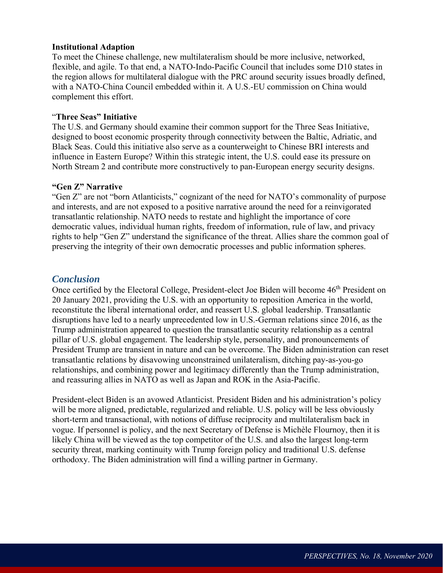#### **Institutional Adaption**

To meet the Chinese challenge, new multilateralism should be more inclusive, networked, flexible, and agile. To that end, a NATO-Indo-Pacific Council that includes some D10 states in the region allows for multilateral dialogue with the PRC around security issues broadly defined, with a NATO-China Council embedded within it. A U.S.-EU commission on China would complement this effort.

#### "**Three Seas" Initiative**

The U.S. and Germany should examine their common support for the Three Seas Initiative, designed to boost economic prosperity through connectivity between the Baltic, Adriatic, and Black Seas. Could this initiative also serve as a counterweight to Chinese BRI interests and influence in Eastern Europe? Within this strategic intent, the U.S. could ease its pressure on North Stream 2 and contribute more constructively to pan-European energy security designs.

#### **"Gen Z" Narrative**

"Gen Z" are not "born Atlanticists," cognizant of the need for NATO's commonality of purpose and interests, and are not exposed to a positive narrative around the need for a reinvigorated transatlantic relationship. NATO needs to restate and highlight the importance of core democratic values, individual human rights, freedom of information, rule of law, and privacy rights to help "Gen Z" understand the significance of the threat. Allies share the common goal of preserving the integrity of their own democratic processes and public information spheres.

#### *Conclusion*

Once certified by the Electoral College, President-elect Joe Biden will become 46<sup>th</sup> President on 20 January 2021, providing the U.S. with an opportunity to reposition America in the world, reconstitute the liberal international order, and reassert U.S. global leadership. Transatlantic disruptions have led to a nearly unprecedented low in U.S.-German relations since 2016, as the Trump administration appeared to question the transatlantic security relationship as a central pillar of U.S. global engagement. The leadership style, personality, and pronouncements of President Trump are transient in nature and can be overcome. The Biden administration can reset transatlantic relations by disavowing unconstrained unilateralism, ditching pay-as-you-go relationships, and combining power and legitimacy differently than the Trump administration, and reassuring allies in NATO as well as Japan and ROK in the Asia-Pacific.

President-elect Biden is an avowed Atlanticist. President Biden and his administration's policy will be more aligned, predictable, regularized and reliable. U.S. policy will be less obviously short-term and transactional, with notions of diffuse reciprocity and multilateralism back in vogue. If personnel is policy, and the next Secretary of Defense is Michèle Flournoy, then it is likely China will be viewed as the top competitor of the U.S. and also the largest long-term security threat, marking continuity with Trump foreign policy and traditional U.S. defense orthodoxy. The Biden administration will find a willing partner in Germany.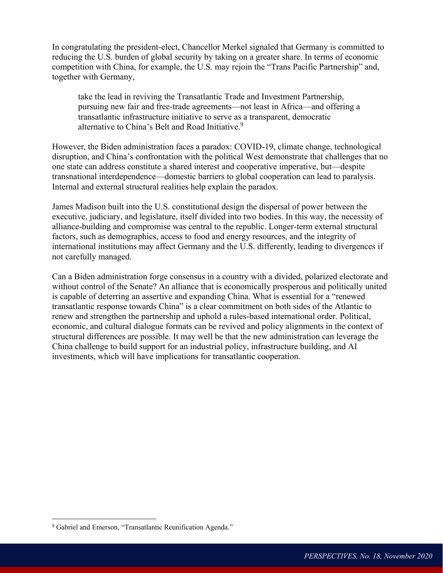In congratulating the president-elect, Chancellor Merkel signaled that Germany is committed to reducing the U.S. burden of global security by taking on a greater share. In terms of economic competition with China, for example, the U.S. may rejoin the "Trans Pacific Partnership" and, together with Germany,

take the lead in reviving the Transatlantic Trade and Investment Partnership, pursuing new fair and free-trade agreements—not least in Africa—and offering a transatlantic infrastructure initiative to serve as a transparent, democratic alternative to China's Belt and Road Initiative.<sup>9</sup>

However, the Biden administration faces a paradox: COVID-19, climate change, technological disruption, and China's confrontation with the political West demonstrate that challenges that no one state can address constitute a shared interest and cooperative imperative, but—despite transnational interdependence—domestic barriers to global cooperation can lead to paralysis. Internal and external structural realities help explain the paradox.

James Madison built into the U.S. constitutional design the dispersal of power between the executive, judiciary, and legislature, itself divided into two bodies. In this way, the necessity of alliance-building and compromise was central to the republic. Longer-term external structural factors, such as demographics, access to food and energy resources, and the integrity of international institutions may affect Germany and the U.S. differently, leading to divergences if not carefully managed.

Can a Biden administration forge consensus in a country with a divided, polarized electorate and without control of the Senate? An alliance that is economically prosperous and politically united is capable of deterring an assertive and expanding China. What is essential for a "renewed transatlantic response towards China" is a clear commitment on both sides of the Atlantic to renew and strengthen the partnership and uphold a rules-based international order. Political, economic, and cultural dialogue formats can be revived and policy alignments in the context of structural differences are possible. It may well be that the new administration can leverage the China challenge to build support for an industrial policy, infrastructure building, and AI investments, which will have implications for transatlantic cooperation.

 $\overline{a}$ 

<sup>&</sup>lt;sup>9</sup> Gabriel and Emerson, "Transatlantic Reunification Agenda."